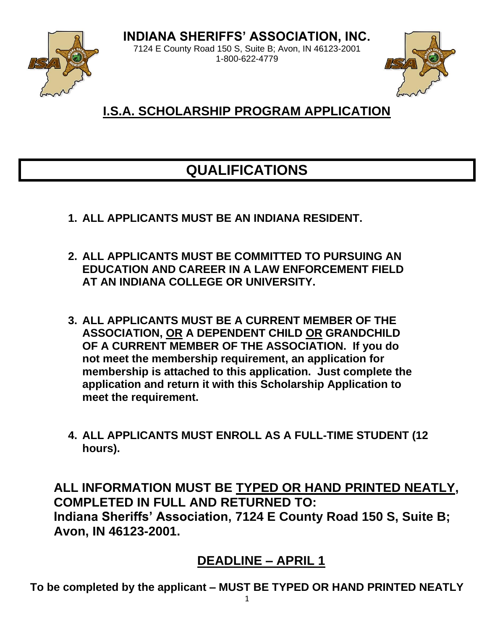**INDIANA SHERIFFS' ASSOCIATION, INC.**



7124 E County Road 150 S, Suite B; Avon, IN 46123-2001 1-800-622-4779



### **I.S.A. SCHOLARSHIP PROGRAM APPLICATION**

### **QUALIFICATIONS**

- **1. ALL APPLICANTS MUST BE AN INDIANA RESIDENT.**
- **2. ALL APPLICANTS MUST BE COMMITTED TO PURSUING AN EDUCATION AND CAREER IN A LAW ENFORCEMENT FIELD AT AN INDIANA COLLEGE OR UNIVERSITY.**
- **3. ALL APPLICANTS MUST BE A CURRENT MEMBER OF THE ASSOCIATION, OR A DEPENDENT CHILD OR GRANDCHILD OF A CURRENT MEMBER OF THE ASSOCIATION. If you do not meet the membership requirement, an application for membership is attached to this application. Just complete the application and return it with this Scholarship Application to meet the requirement.**
- **4. ALL APPLICANTS MUST ENROLL AS A FULL-TIME STUDENT (12 hours).**

**ALL INFORMATION MUST BE TYPED OR HAND PRINTED NEATLY, COMPLETED IN FULL AND RETURNED TO: Indiana Sheriffs' Association, 7124 E County Road 150 S, Suite B; Avon, IN 46123-2001.**

### **DEADLINE – APRIL 1**

**To be completed by the applicant – MUST BE TYPED OR HAND PRINTED NEATLY**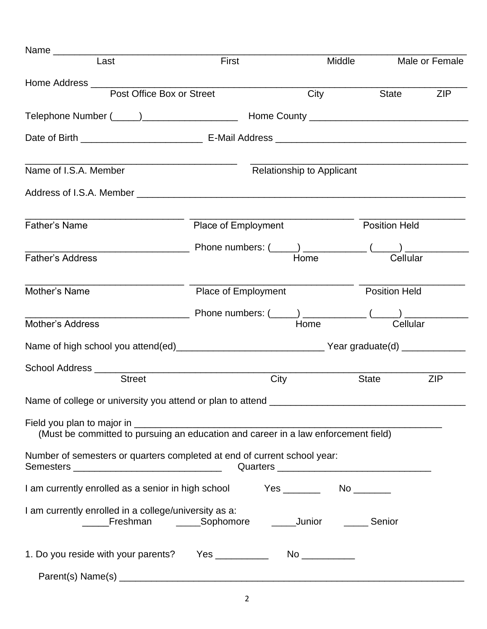| Last                                                                                                             | First               |      |                                  | Middle               | Male or Female       |
|------------------------------------------------------------------------------------------------------------------|---------------------|------|----------------------------------|----------------------|----------------------|
| Post Office Box or Street                                                                                        |                     |      | City                             |                      | ZIP<br>State         |
|                                                                                                                  |                     |      |                                  |                      |                      |
|                                                                                                                  |                     |      |                                  |                      |                      |
| Name of I.S.A. Member                                                                                            |                     |      | <b>Relationship to Applicant</b> |                      |                      |
|                                                                                                                  |                     |      |                                  |                      |                      |
| <b>Father's Name</b>                                                                                             | Place of Employment |      |                                  | <b>Position Held</b> |                      |
| <b>Father's Address</b>                                                                                          |                     |      | Home                             |                      | Cellular             |
| Mother's Name                                                                                                    | Place of Employment |      |                                  |                      | <b>Position Held</b> |
| Mother's Address                                                                                                 |                     |      | Home                             |                      | Cellular             |
|                                                                                                                  |                     |      |                                  |                      |                      |
|                                                                                                                  |                     |      |                                  |                      |                      |
| <b>Street</b>                                                                                                    |                     | City |                                  | <b>State</b>         | <b>ZIP</b>           |
| Name of college or university you attend or plan to attend ___                                                   |                     |      |                                  |                      |                      |
|                                                                                                                  |                     |      |                                  |                      |                      |
| Number of semesters or quarters completed at end of current school year:                                         |                     |      |                                  |                      |                      |
|                                                                                                                  |                     |      |                                  |                      |                      |
| I am currently enrolled in a college/university as a:<br>_____Freshman ______Sophomore ______Junior ______Senior |                     |      |                                  |                      |                      |
|                                                                                                                  |                     |      |                                  |                      |                      |
|                                                                                                                  |                     |      |                                  |                      |                      |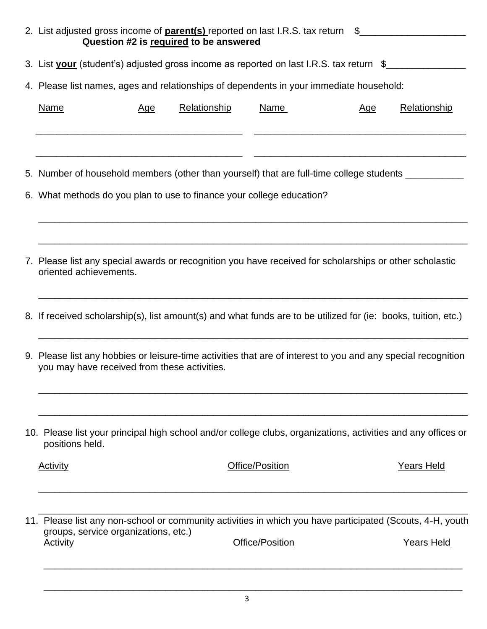| 2. List adjusted gross income of <b>parent(s)</b> reported on last I.R.S. tax return \$                                                                                      |     | Question #2 is required to be answered |                 |            |                   |
|------------------------------------------------------------------------------------------------------------------------------------------------------------------------------|-----|----------------------------------------|-----------------|------------|-------------------|
| 3. List your (student's) adjusted gross income as reported on last I.R.S. tax return \$                                                                                      |     |                                        |                 |            |                   |
| 4. Please list names, ages and relationships of dependents in your immediate household:                                                                                      |     |                                        |                 |            |                   |
| <b>Name</b>                                                                                                                                                                  | Age | Relationship                           | Name            | <u>Age</u> | Relationship      |
| 5. Number of household members (other than yourself) that are full-time college students __________<br>6. What methods do you plan to use to finance your college education? |     |                                        |                 |            |                   |
|                                                                                                                                                                              |     |                                        |                 |            |                   |
| 7. Please list any special awards or recognition you have received for scholarships or other scholastic<br>oriented achievements.                                            |     |                                        |                 |            |                   |
| 8. If received scholarship(s), list amount(s) and what funds are to be utilized for (ie: books, tuition, etc.)                                                               |     |                                        |                 |            |                   |
| 9. Please list any hobbies or leisure-time activities that are of interest to you and any special recognition<br>you may have received from these activities.                |     |                                        |                 |            |                   |
| 10. Please list your principal high school and/or college clubs, organizations, activities and any offices or<br>positions held.                                             |     |                                        |                 |            |                   |
| <b>Activity</b>                                                                                                                                                              |     |                                        | Office/Position |            | <b>Years Held</b> |
| 11. Please list any non-school or community activities in which you have participated (Scouts, 4-H, youth<br>groups, service organizations, etc.)<br><b>Activity</b>         |     |                                        | Office/Position |            | <b>Years Held</b> |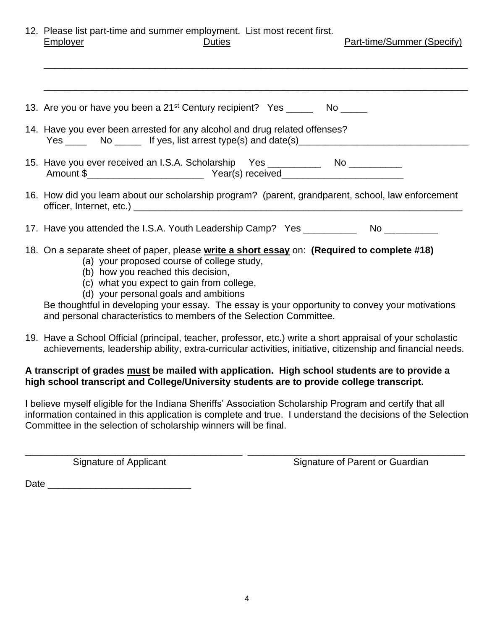| 12. Please list part-time and summer employment. List most recent first. |        |                            |  |
|--------------------------------------------------------------------------|--------|----------------------------|--|
| <b>Employer</b>                                                          | Duties | Part-time/Summer (Specify) |  |

| 13. Are you or have you been a 21 <sup>st</sup> Century recipient? Yes ______ No _____                                                                                                                                                                                                                                                                                                                                                           |
|--------------------------------------------------------------------------------------------------------------------------------------------------------------------------------------------------------------------------------------------------------------------------------------------------------------------------------------------------------------------------------------------------------------------------------------------------|
| 14. Have you ever been arrested for any alcohol and drug related offenses?                                                                                                                                                                                                                                                                                                                                                                       |
| 15. Have you ever received an I.S.A. Scholarship Yes ___________________________                                                                                                                                                                                                                                                                                                                                                                 |
| 16. How did you learn about our scholarship program? (parent, grandparent, school, law enforcement                                                                                                                                                                                                                                                                                                                                               |
| 17. Have you attended the I.S.A. Youth Leadership Camp? Yes _____________________                                                                                                                                                                                                                                                                                                                                                                |
| 18. On a separate sheet of paper, please write a short essay on: (Required to complete #18)<br>(a) your proposed course of college study,<br>(b) how you reached this decision,<br>(c) what you expect to gain from college,<br>(d) your personal goals and ambitions<br>Be thoughtful in developing your essay. The essay is your opportunity to convey your motivations<br>and personal characteristics to members of the Selection Committee. |
| 19. Have a School Official (principal, teacher, professor, etc.) write a short appraisal of your scholastic<br>achievements, leadership ability, extra-curricular activities, initiative, citizenship and financial needs.                                                                                                                                                                                                                       |

#### **A transcript of grades must be mailed with application. High school students are to provide a high school transcript and College/University students are to provide college transcript.**

I believe myself eligible for the Indiana Sheriffs' Association Scholarship Program and certify that all information contained in this application is complete and true. I understand the decisions of the Selection Committee in the selection of scholarship winners will be final.

\_\_\_\_\_\_\_\_\_\_\_\_\_\_\_\_\_\_\_\_\_\_\_\_\_\_\_\_\_\_\_\_\_\_\_\_\_\_\_\_\_ \_\_\_\_\_\_\_\_\_\_\_\_\_\_\_\_\_\_\_\_\_\_\_\_\_\_\_\_\_\_\_\_\_\_\_\_\_\_\_\_\_

Signature of Applicant Signature of Parent or Guardian

Date \_\_\_\_\_\_\_\_\_\_\_\_\_\_\_\_\_\_\_\_\_\_\_\_\_\_\_